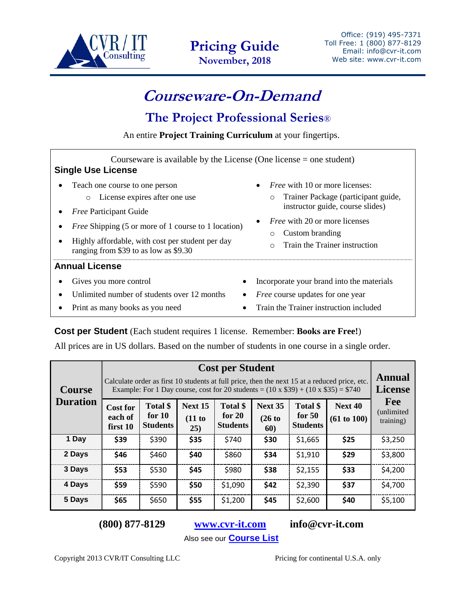

**Pricing Guide November, 2018**

## **Courseware-On-Demand**

## **The Project Professional Series**®

An entire **Project Training Curriculum** at your fingertips.

| Courseware is available by the License (One license $=$ one student)<br><b>Single Use License</b>                                                                                                                                                                      |                                                                                                                                                                                                                                                            |  |  |  |  |
|------------------------------------------------------------------------------------------------------------------------------------------------------------------------------------------------------------------------------------------------------------------------|------------------------------------------------------------------------------------------------------------------------------------------------------------------------------------------------------------------------------------------------------------|--|--|--|--|
| Teach one course to one person<br>License expires after one use<br>$\circ$<br><i>Free Participant Guide</i><br><i>Free Shipping (5 or more of 1 course to 1 location)</i><br>Highly affordable, with cost per student per day<br>ranging from \$39 to as low as \$9.30 | <i>Free</i> with 10 or more licenses:<br>$\bullet$<br>Trainer Package (participant guide,<br>$\circ$<br>instructor guide, course slides)<br><i>Free</i> with 20 or more licenses<br>Custom branding<br>$\circ$<br>Train the Trainer instruction<br>$\circ$ |  |  |  |  |
| <b>Annual License</b><br>Gives you more control<br>$\bullet$                                                                                                                                                                                                           | Incorporate your brand into the materials                                                                                                                                                                                                                  |  |  |  |  |
| Unlimited number of students over 12 months<br>$\bullet$<br>Print as many books as you need                                                                                                                                                                            | <i>Free</i> course updates for one year<br>Train the Trainer instruction included                                                                                                                                                                          |  |  |  |  |

## **Cost per Student** (Each student requires 1 license. Remember: **Books are Free!**)

All prices are in US dollars. Based on the number of students in one course in a single order.

| <b>Course</b><br><b>Duration</b> | <b>Cost per Student</b><br>Calculate order as first 10 students at full price, then the next 15 at a reduced price, etc.<br>Example: For 1 Day course, cost for 20 students = $(10 \times $39) + (10 \times $35) = $740$ |                                         |                          |                                         |                          |                                         |                        | Annual<br><b>License</b>               |
|----------------------------------|--------------------------------------------------------------------------------------------------------------------------------------------------------------------------------------------------------------------------|-----------------------------------------|--------------------------|-----------------------------------------|--------------------------|-----------------------------------------|------------------------|----------------------------------------|
|                                  | <b>Cost for</b><br>each of<br>first 10                                                                                                                                                                                   | Total \$<br>for $10$<br><b>Students</b> | Next 15<br>(11 to<br>25) | Total \$<br>for $20$<br><b>Students</b> | Next 35<br>(26 to<br>60) | Total \$<br>for $50$<br><b>Students</b> | Next 40<br>(61 to 100) | Fee<br><i>(unlimited)</i><br>training) |
| 1 Day                            | \$39                                                                                                                                                                                                                     | \$390                                   | \$35                     | \$740                                   | \$30                     | \$1,665                                 | \$25                   | \$3,250                                |
| 2 Days                           | \$46                                                                                                                                                                                                                     | \$460                                   | \$40                     | \$860                                   | \$34                     | \$1,910                                 | \$29                   | \$3,800                                |
| 3 Days                           | \$53                                                                                                                                                                                                                     | \$530                                   | \$45                     | \$980                                   | \$38                     | \$2,155                                 | \$33                   | \$4,200                                |
| 4 Days                           | \$59                                                                                                                                                                                                                     | \$590                                   | \$50                     | \$1,090                                 | \$42                     | \$2,390                                 | \$37                   | \$4,700                                |
| 5 Days                           | \$65                                                                                                                                                                                                                     | \$650                                   | \$55                     | \$1,200                                 | \$45                     | \$2,600                                 | \$40                   | \$5,100                                |

**(800) 877-8129 [www.cvr-it.com](http://www.cvr-it.com/) info@cvr-it.com**

Also see our **[Course List](http://www.cvr-it.com/coursewareondemand/CVRIT_CoursewareOnDemand_Brochure.pdf)**